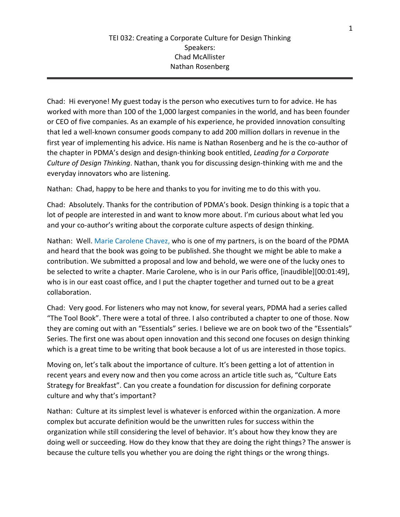Chad: Hi everyone! My guest today is the person who executives turn to for advice. He has worked with more than 100 of the 1,000 largest companies in the world, and has been founder or CEO of five companies. As an example of his experience, he provided innovation consulting that led a well-known consumer goods company to add 200 million dollars in revenue in the first year of implementing his advice. His name is Nathan Rosenberg and he is the co-author of the chapter in PDMA's design and design-thinking book entitled, *Leading for a Corporate Culture of Design Thinking*. Nathan, thank you for discussing design-thinking with me and the everyday innovators who are listening.

Nathan: Chad, happy to be here and thanks to you for inviting me to do this with you.

Chad: Absolutely. Thanks for the contribution of PDMA's book. Design thinking is a topic that a lot of people are interested in and want to know more about. I'm curious about what led you and your co-author's writing about the corporate culture aspects of design thinking.

Nathan: Well. Marie Carolene Chavez, who is one of my partners, is on the board of the PDMA and heard that the book was going to be published. She thought we might be able to make a contribution. We submitted a proposal and low and behold, we were one of the lucky ones to be selected to write a chapter. Marie Carolene, who is in our Paris office, [inaudible][00:01:49], who is in our east coast office, and I put the chapter together and turned out to be a great collaboration.

Chad: Very good. For listeners who may not know, for several years, PDMA had a series called "The Tool Book". There were a total of three. I also contributed a chapter to one of those. Now they are coming out with an "Essentials" series. I believe we are on book two of the "Essentials" Series. The first one was about open innovation and this second one focuses on design thinking which is a great time to be writing that book because a lot of us are interested in those topics.

Moving on, let's talk about the importance of culture. It's been getting a lot of attention in recent years and every now and then you come across an article title such as, "Culture Eats Strategy for Breakfast". Can you create a foundation for discussion for defining corporate culture and why that's important?

Nathan: Culture at its simplest level is whatever is enforced within the organization. A more complex but accurate definition would be the unwritten rules for success within the organization while still considering the level of behavior. It's about how they know they are doing well or succeeding. How do they know that they are doing the right things? The answer is because the culture tells you whether you are doing the right things or the wrong things.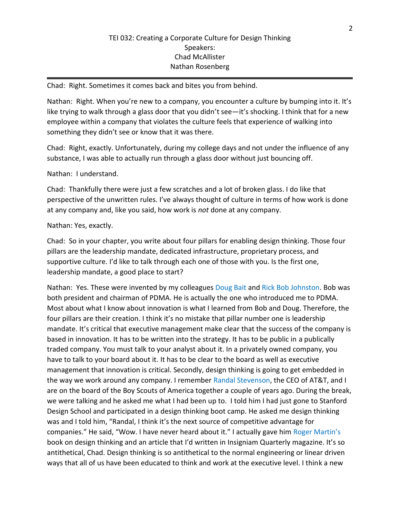Chad: Right. Sometimes it comes back and bites you from behind.

Nathan: Right. When you're new to a company, you encounter a culture by bumping into it. It's like trying to walk through a glass door that you didn't see—it's shocking. I think that for a new employee within a company that violates the culture feels that experience of walking into something they didn't see or know that it was there.

Chad: Right, exactly. Unfortunately, during my college days and not under the influence of any substance, I was able to actually run through a glass door without just bouncing off.

Nathan: I understand.

Chad: Thankfully there were just a few scratches and a lot of broken glass. I do like that perspective of the unwritten rules. I've always thought of culture in terms of how work is done at any company and, like you said, how work is *not* done at any company.

# Nathan: Yes, exactly.

Chad: So in your chapter, you write about four pillars for enabling design thinking. Those four pillars are the leadership mandate, dedicated infrastructure, proprietary process, and supportive culture. I'd like to talk through each one of those with you. Is the first one, leadership mandate, a good place to start?

Nathan: Yes. These were invented by my colleagues Doug Bait and Rick Bob Johnston. Bob was both president and chairman of PDMA. He is actually the one who introduced me to PDMA. Most about what I know about innovation is what I learned from Bob and Doug. Therefore, the four pillars are their creation. I think it's no mistake that pillar number one is leadership mandate. It's critical that executive management make clear that the success of the company is based in innovation. It has to be written into the strategy. It has to be public in a publically traded company. You must talk to your analyst about it. In a privately owned company, you have to talk to your board about it. It has to be clear to the board as well as executive management that innovation is critical. Secondly, design thinking is going to get embedded in the way we work around any company. I remember Randal Stevenson, the CEO of AT&T, and I are on the board of the Boy Scouts of America together a couple of years ago. During the break, we were talking and he asked me what I had been up to. I told him I had just gone to Stanford Design School and participated in a design thinking boot camp. He asked me design thinking was and I told him, "Randal, I think it's the next source of competitive advantage for companies." He said, "Wow. I have never heard about it." I actually gave him Roger Martin's book on design thinking and an article that I'd written in Insigniam Quarterly magazine. It's so antithetical, Chad. Design thinking is so antithetical to the normal engineering or linear driven ways that all of us have been educated to think and work at the executive level. I think a new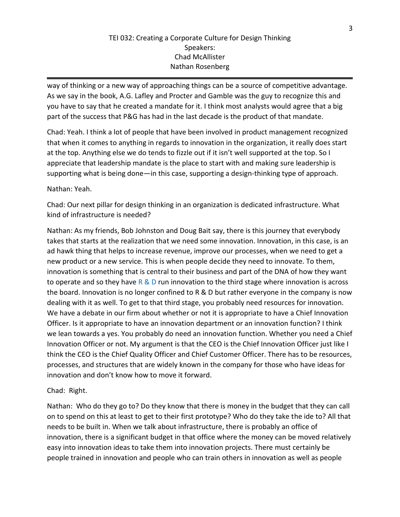way of thinking or a new way of approaching things can be a source of competitive advantage. As we say in the book, A.G. Lafley and Procter and Gamble was the guy to recognize this and you have to say that he created a mandate for it. I think most analysts would agree that a big part of the success that P&G has had in the last decade is the product of that mandate.

Chad: Yeah. I think a lot of people that have been involved in product management recognized that when it comes to anything in regards to innovation in the organization, it really does start at the top. Anything else we do tends to fizzle out if it isn't well supported at the top. So I appreciate that leadership mandate is the place to start with and making sure leadership is supporting what is being done—in this case, supporting a design-thinking type of approach.

Nathan: Yeah.

Chad: Our next pillar for design thinking in an organization is dedicated infrastructure. What kind of infrastructure is needed?

Nathan: As my friends, Bob Johnston and Doug Bait say, there is this journey that everybody takes that starts at the realization that we need some innovation. Innovation, in this case, is an ad hawk thing that helps to increase revenue, improve our processes, when we need to get a new product or a new service. This is when people decide they need to innovate. To them, innovation is something that is central to their business and part of the DNA of how they want to operate and so they have  $R \& D$  run innovation to the third stage where innovation is across the board. Innovation is no longer confined to R & D but rather everyone in the company is now dealing with it as well. To get to that third stage, you probably need resources for innovation. We have a debate in our firm about whether or not it is appropriate to have a Chief Innovation Officer. Is it appropriate to have an innovation department or an innovation function? I think we lean towards a yes. You probably do need an innovation function. Whether you need a Chief Innovation Officer or not. My argument is that the CEO is the Chief Innovation Officer just like I think the CEO is the Chief Quality Officer and Chief Customer Officer. There has to be resources, processes, and structures that are widely known in the company for those who have ideas for innovation and don't know how to move it forward.

Chad: Right.

Nathan: Who do they go to? Do they know that there is money in the budget that they can call on to spend on this at least to get to their first prototype? Who do they take the ide to? All that needs to be built in. When we talk about infrastructure, there is probably an office of innovation, there is a significant budget in that office where the money can be moved relatively easy into innovation ideas to take them into innovation projects. There must certainly be people trained in innovation and people who can train others in innovation as well as people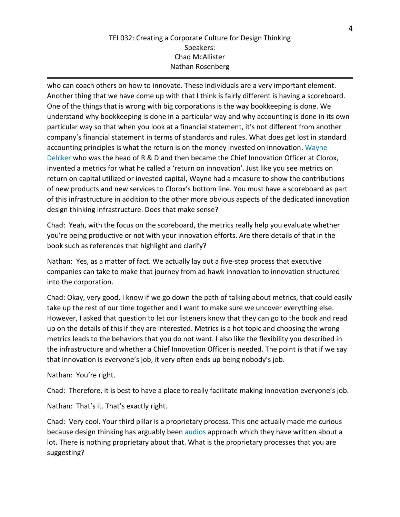who can coach others on how to innovate. These individuals are a very important element. Another thing that we have come up with that I think is fairly different is having a scoreboard. One of the things that is wrong with big corporations is the way bookkeeping is done. We understand why bookkeeping is done in a particular way and why accounting is done in its own particular way so that when you look at a financial statement, it's not different from another company's financial statement in terms of standards and rules. What does get lost in standard accounting principles is what the return is on the money invested on innovation. Wayne Delcker who was the head of R & D and then became the Chief Innovation Officer at Clorox, invented a metrics for what he called a 'return on innovation'. Just like you see metrics on return on capital utilized or invested capital, Wayne had a measure to show the contributions of new products and new services to Clorox's bottom line. You must have a scoreboard as part of this infrastructure in addition to the other more obvious aspects of the dedicated innovation design thinking infrastructure. Does that make sense?

Chad: Yeah, with the focus on the scoreboard, the metrics really help you evaluate whether you're being productive or not with your innovation efforts. Are there details of that in the book such as references that highlight and clarify?

Nathan: Yes, as a matter of fact. We actually lay out a five-step process that executive companies can take to make that journey from ad hawk innovation to innovation structured into the corporation.

Chad: Okay, very good. I know if we go down the path of talking about metrics, that could easily take up the rest of our time together and I want to make sure we uncover everything else. However, I asked that question to let our listeners know that they can go to the book and read up on the details of this if they are interested. Metrics is a hot topic and choosing the wrong metrics leads to the behaviors that you do not want. I also like the flexibility you described in the infrastructure and whether a Chief Innovation Officer is needed. The point is that if we say that innovation is everyone's job, it very often ends up being nobody's job.

Nathan: You're right.

Chad: Therefore, it is best to have a place to really facilitate making innovation everyone's job.

Nathan: That's it. That's exactly right.

Chad: Very cool. Your third pillar is a proprietary process. This one actually made me curious because design thinking has arguably been audios approach which they have written about a lot. There is nothing proprietary about that. What is the proprietary processes that you are suggesting?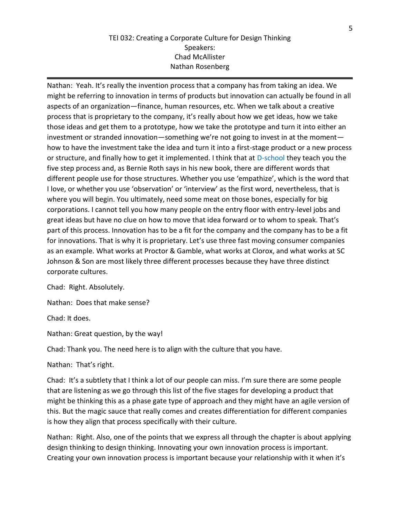Nathan: Yeah. It's really the invention process that a company has from taking an idea. We might be referring to innovation in terms of products but innovation can actually be found in all aspects of an organization—finance, human resources, etc. When we talk about a creative process that is proprietary to the company, it's really about how we get ideas, how we take those ideas and get them to a prototype, how we take the prototype and turn it into either an investment or stranded innovation—something we're not going to invest in at the moment how to have the investment take the idea and turn it into a first-stage product or a new process or structure, and finally how to get it implemented. I think that at D-school they teach you the five step process and, as Bernie Roth says in his new book, there are different words that different people use for those structures. Whether you use 'empathize', which is the word that I love, or whether you use 'observation' or 'interview' as the first word, nevertheless, that is where you will begin. You ultimately, need some meat on those bones, especially for big corporations. I cannot tell you how many people on the entry floor with entry-level jobs and great ideas but have no clue on how to move that idea forward or to whom to speak. That's part of this process. Innovation has to be a fit for the company and the company has to be a fit for innovations. That is why it is proprietary. Let's use three fast moving consumer companies as an example. What works at Proctor & Gamble, what works at Clorox, and what works at SC Johnson & Son are most likely three different processes because they have three distinct corporate cultures.

Chad: Right. Absolutely.

Nathan: Does that make sense?

Chad: It does.

Nathan: Great question, by the way!

Chad: Thank you. The need here is to align with the culture that you have.

#### Nathan: That's right.

Chad: It's a subtlety that I think a lot of our people can miss. I'm sure there are some people that are listening as we go through this list of the five stages for developing a product that might be thinking this as a phase gate type of approach and they might have an agile version of this. But the magic sauce that really comes and creates differentiation for different companies is how they align that process specifically with their culture.

Nathan: Right. Also, one of the points that we express all through the chapter is about applying design thinking to design thinking. Innovating your own innovation process is important. Creating your own innovation process is important because your relationship with it when it's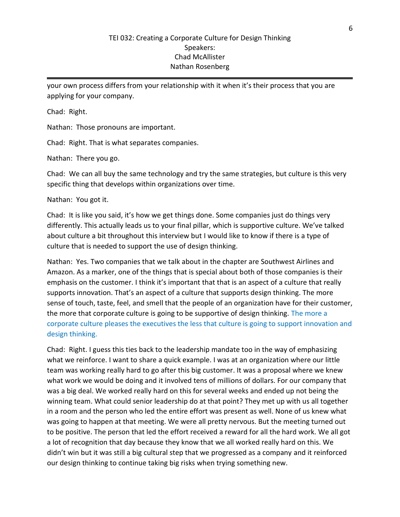your own process differs from your relationship with it when it's their process that you are applying for your company.

Chad: Right.

Nathan: Those pronouns are important.

Chad: Right. That is what separates companies.

Nathan: There you go.

Chad: We can all buy the same technology and try the same strategies, but culture is this very specific thing that develops within organizations over time.

Nathan: You got it.

Chad: It is like you said, it's how we get things done. Some companies just do things very differently. This actually leads us to your final pillar, which is supportive culture. We've talked about culture a bit throughout this interview but I would like to know if there is a type of culture that is needed to support the use of design thinking.

Nathan: Yes. Two companies that we talk about in the chapter are Southwest Airlines and Amazon. As a marker, one of the things that is special about both of those companies is their emphasis on the customer. I think it's important that that is an aspect of a culture that really supports innovation. That's an aspect of a culture that supports design thinking. The more sense of touch, taste, feel, and smell that the people of an organization have for their customer, the more that corporate culture is going to be supportive of design thinking. The more a corporate culture pleases the executives the less that culture is going to support innovation and design thinking.

Chad: Right. I guess this ties back to the leadership mandate too in the way of emphasizing what we reinforce. I want to share a quick example. I was at an organization where our little team was working really hard to go after this big customer. It was a proposal where we knew what work we would be doing and it involved tens of millions of dollars. For our company that was a big deal. We worked really hard on this for several weeks and ended up not being the winning team. What could senior leadership do at that point? They met up with us all together in a room and the person who led the entire effort was present as well. None of us knew what was going to happen at that meeting. We were all pretty nervous. But the meeting turned out to be positive. The person that led the effort received a reward for all the hard work. We all got a lot of recognition that day because they know that we all worked really hard on this. We didn't win but it was still a big cultural step that we progressed as a company and it reinforced our design thinking to continue taking big risks when trying something new.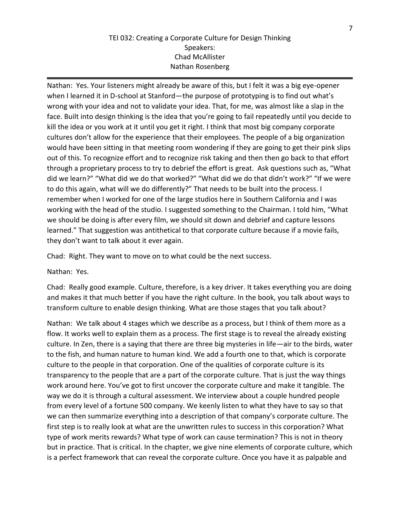Nathan: Yes. Your listeners might already be aware of this, but I felt it was a big eye-opener when I learned it in D-school at Stanford—the purpose of prototyping is to find out what's wrong with your idea and not to validate your idea. That, for me, was almost like a slap in the face. Built into design thinking is the idea that you're going to fail repeatedly until you decide to kill the idea or you work at it until you get it right. I think that most big company corporate cultures don't allow for the experience that their employees. The people of a big organization would have been sitting in that meeting room wondering if they are going to get their pink slips out of this. To recognize effort and to recognize risk taking and then then go back to that effort through a proprietary process to try to debrief the effort is great. Ask questions such as, "What did we learn?" "What did we do that worked?" "What did we do that didn't work?" "If we were to do this again, what will we do differently?" That needs to be built into the process. I remember when I worked for one of the large studios here in Southern California and I was working with the head of the studio. I suggested something to the Chairman. I told him, "What we should be doing is after every film, we should sit down and debrief and capture lessons learned." That suggestion was antithetical to that corporate culture because if a movie fails, they don't want to talk about it ever again.

Chad: Right. They want to move on to what could be the next success.

Nathan: Yes.

Chad: Really good example. Culture, therefore, is a key driver. It takes everything you are doing and makes it that much better if you have the right culture. In the book, you talk about ways to transform culture to enable design thinking. What are those stages that you talk about?

Nathan: We talk about 4 stages which we describe as a process, but I think of them more as a flow. It works well to explain them as a process. The first stage is to reveal the already existing culture. In Zen, there is a saying that there are three big mysteries in life—air to the birds, water to the fish, and human nature to human kind. We add a fourth one to that, which is corporate culture to the people in that corporation. One of the qualities of corporate culture is its transparency to the people that are a part of the corporate culture. That is just the way things work around here. You've got to first uncover the corporate culture and make it tangible. The way we do it is through a cultural assessment. We interview about a couple hundred people from every level of a fortune 500 company. We keenly listen to what they have to say so that we can then summarize everything into a description of that company's corporate culture. The first step is to really look at what are the unwritten rules to success in this corporation? What type of work merits rewards? What type of work can cause termination? This is not in theory but in practice. That is critical. In the chapter, we give nine elements of corporate culture, which is a perfect framework that can reveal the corporate culture. Once you have it as palpable and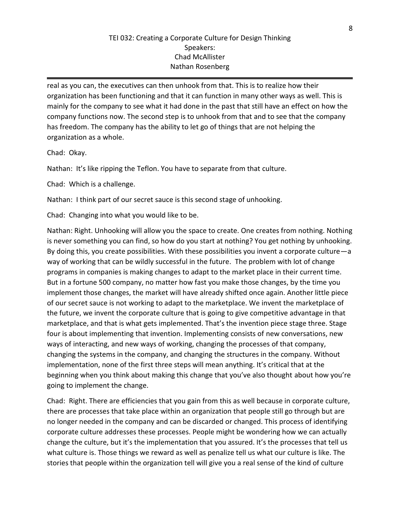real as you can, the executives can then unhook from that. This is to realize how their organization has been functioning and that it can function in many other ways as well. This is mainly for the company to see what it had done in the past that still have an effect on how the company functions now. The second step is to unhook from that and to see that the company has freedom. The company has the ability to let go of things that are not helping the organization as a whole.

Chad: Okay.

Nathan: It's like ripping the Teflon. You have to separate from that culture.

Chad: Which is a challenge.

Nathan: I think part of our secret sauce is this second stage of unhooking.

Chad: Changing into what you would like to be.

Nathan: Right. Unhooking will allow you the space to create. One creates from nothing. Nothing is never something you can find, so how do you start at nothing? You get nothing by unhooking. By doing this, you create possibilities. With these possibilities you invent a corporate culture—a way of working that can be wildly successful in the future. The problem with lot of change programs in companies is making changes to adapt to the market place in their current time. But in a fortune 500 company, no matter how fast you make those changes, by the time you implement those changes, the market will have already shifted once again. Another little piece of our secret sauce is not working to adapt to the marketplace. We invent the marketplace of the future, we invent the corporate culture that is going to give competitive advantage in that marketplace, and that is what gets implemented. That's the invention piece stage three. Stage four is about implementing that invention. Implementing consists of new conversations, new ways of interacting, and new ways of working, changing the processes of that company, changing the systems in the company, and changing the structures in the company. Without implementation, none of the first three steps will mean anything. It's critical that at the beginning when you think about making this change that you've also thought about how you're going to implement the change.

Chad: Right. There are efficiencies that you gain from this as well because in corporate culture, there are processes that take place within an organization that people still go through but are no longer needed in the company and can be discarded or changed. This process of identifying corporate culture addresses these processes. People might be wondering how we can actually change the culture, but it's the implementation that you assured. It's the processes that tell us what culture is. Those things we reward as well as penalize tell us what our culture is like. The stories that people within the organization tell will give you a real sense of the kind of culture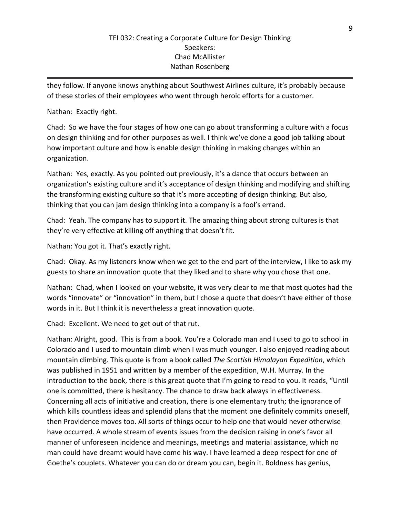they follow. If anyone knows anything about Southwest Airlines culture, it's probably because of these stories of their employees who went through heroic efforts for a customer.

# Nathan: Exactly right.

Chad: So we have the four stages of how one can go about transforming a culture with a focus on design thinking and for other purposes as well. I think we've done a good job talking about how important culture and how is enable design thinking in making changes within an organization.

Nathan: Yes, exactly. As you pointed out previously, it's a dance that occurs between an organization's existing culture and it's acceptance of design thinking and modifying and shifting the transforming existing culture so that it's more accepting of design thinking. But also, thinking that you can jam design thinking into a company is a fool's errand.

Chad: Yeah. The company has to support it. The amazing thing about strong cultures is that they're very effective at killing off anything that doesn't fit.

Nathan: You got it. That's exactly right.

Chad: Okay. As my listeners know when we get to the end part of the interview, I like to ask my guests to share an innovation quote that they liked and to share why you chose that one.

Nathan: Chad, when I looked on your website, it was very clear to me that most quotes had the words "innovate" or "innovation" in them, but I chose a quote that doesn't have either of those words in it. But I think it is nevertheless a great innovation quote.

Chad: Excellent. We need to get out of that rut.

Nathan: Alright, good. This is from a book. You're a Colorado man and I used to go to school in Colorado and I used to mountain climb when I was much younger. I also enjoyed reading about mountain climbing. This quote is from a book called *The Scottish Himalayan Expedition*, which was published in 1951 and written by a member of the expedition, W.H. Murray. In the introduction to the book, there is this great quote that I'm going to read to you. It reads, "Until one is committed, there is hesitancy. The chance to draw back always in effectiveness. Concerning all acts of initiative and creation, there is one elementary truth; the ignorance of which kills countless ideas and splendid plans that the moment one definitely commits oneself, then Providence moves too. All sorts of things occur to help one that would never otherwise have occurred. A whole stream of events issues from the decision raising in one's favor all manner of unforeseen incidence and meanings, meetings and material assistance, which no man could have dreamt would have come his way. I have learned a deep respect for one of Goethe's couplets. Whatever you can do or dream you can, begin it. Boldness has genius,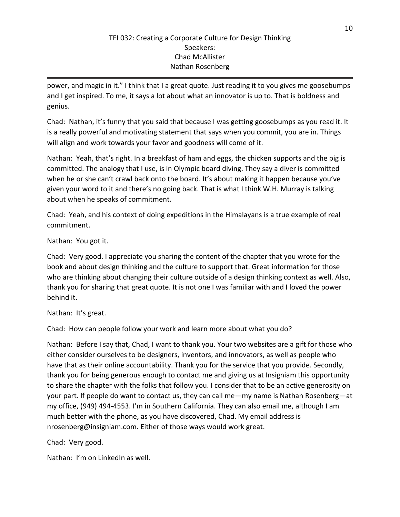power, and magic in it." I think that I a great quote. Just reading it to you gives me goosebumps and I get inspired. To me, it says a lot about what an innovator is up to. That is boldness and genius.

Chad: Nathan, it's funny that you said that because I was getting goosebumps as you read it. It is a really powerful and motivating statement that says when you commit, you are in. Things will align and work towards your favor and goodness will come of it.

Nathan: Yeah, that's right. In a breakfast of ham and eggs, the chicken supports and the pig is committed. The analogy that I use, is in Olympic board diving. They say a diver is committed when he or she can't crawl back onto the board. It's about making it happen because you've given your word to it and there's no going back. That is what I think W.H. Murray is talking about when he speaks of commitment.

Chad: Yeah, and his context of doing expeditions in the Himalayans is a true example of real commitment.

Nathan: You got it.

Chad: Very good. I appreciate you sharing the content of the chapter that you wrote for the book and about design thinking and the culture to support that. Great information for those who are thinking about changing their culture outside of a design thinking context as well. Also, thank you for sharing that great quote. It is not one I was familiar with and I loved the power behind it.

Nathan: It's great.

Chad: How can people follow your work and learn more about what you do?

Nathan: Before I say that, Chad, I want to thank you. Your two websites are a gift for those who either consider ourselves to be designers, inventors, and innovators, as well as people who have that as their online accountability. Thank you for the service that you provide. Secondly, thank you for being generous enough to contact me and giving us at Insigniam this opportunity to share the chapter with the folks that follow you. I consider that to be an active generosity on your part. If people do want to contact us, they can call me—my name is Nathan Rosenberg—at my office, (949) 494-4553. I'm in Southern California. They can also email me, although I am much better with the phone, as you have discovered, Chad. My email address is nrosenberg@insigniam.com. Either of those ways would work great.

Chad: Very good.

Nathan: I'm on LinkedIn as well.